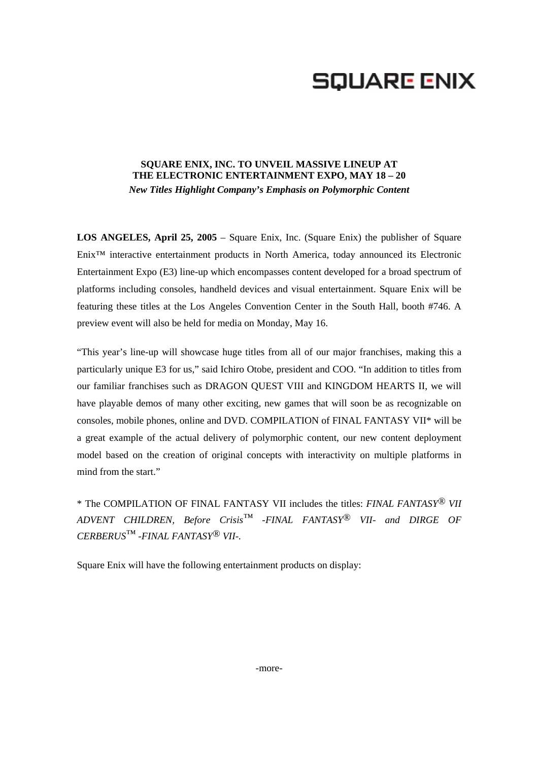# **SQUARE ENIX**

## **SQUARE ENIX, INC. TO UNVEIL MASSIVE LINEUP AT THE ELECTRONIC ENTERTAINMENT EXPO, MAY 18 – 20**  *New Titles Highlight Company's Emphasis on Polymorphic Content*

**LOS ANGELES, April 25, 2005** – Square Enix, Inc. (Square Enix) the publisher of Square Enix™ interactive entertainment products in North America, today announced its Electronic Entertainment Expo (E3) line-up which encompasses content developed for a broad spectrum of platforms including consoles, handheld devices and visual entertainment. Square Enix will be featuring these titles at the Los Angeles Convention Center in the South Hall, booth #746. A preview event will also be held for media on Monday, May 16.

"This year's line-up will showcase huge titles from all of our major franchises, making this a particularly unique E3 for us," said Ichiro Otobe, president and COO. "In addition to titles from our familiar franchises such as DRAGON QUEST VIII and KINGDOM HEARTS II, we will have playable demos of many other exciting, new games that will soon be as recognizable on consoles, mobile phones, online and DVD. COMPILATION of FINAL FANTASY VII\* will be a great example of the actual delivery of polymorphic content, our new content deployment model based on the creation of original concepts with interactivity on multiple platforms in mind from the start."

\* The COMPILATION OF FINAL FANTASY VII includes the titles: *FINAL FANTASY® VII ADVENT CHILDREN, Before Crisis™ -FINAL FANTASY*® *VII- and DIRGE OF CERBERUS™ -FINAL FANTASY*® *VII-.* 

Square Enix will have the following entertainment products on display: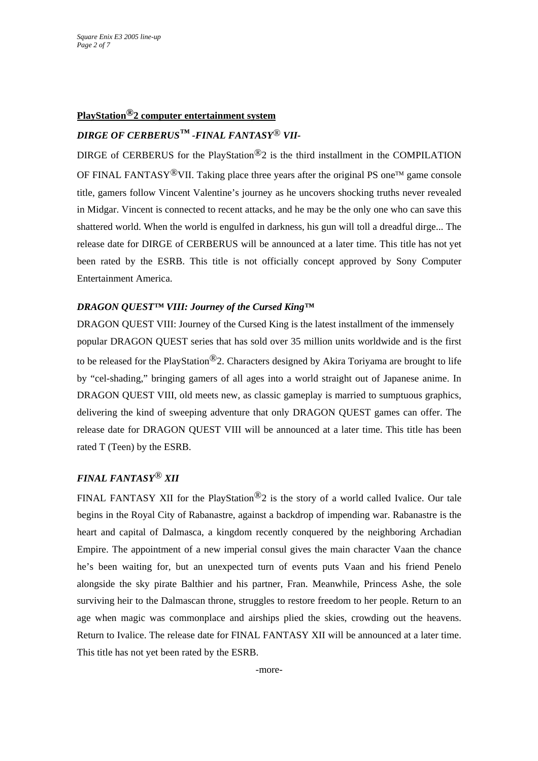#### **PlayStation®2 computer entertainment system**

## *DIRGE OF CERBERUS™ -FINAL FANTASY*® *VII-*

DIRGE of CERBERUS for the PlayStation<sup>®</sup>2 is the third installment in the COMPILATION OF FINAL FANTASY<sup>®</sup>VII. Taking place three years after the original PS one<sup>TM</sup> game console title, gamers follow Vincent Valentine's journey as he uncovers shocking truths never revealed in Midgar. Vincent is connected to recent attacks, and he may be the only one who can save this shattered world. When the world is engulfed in darkness, his gun will toll a dreadful dirge... The release date for DIRGE of CERBERUS will be announced at a later time. This title has not yet been rated by the ESRB. This title is not officially concept approved by Sony Computer Entertainment America.

#### *DRAGON QUEST™ VIII: Journey of the Cursed King™*

DRAGON QUEST VIII: Journey of the Cursed King is the latest installment of the immensely popular DRAGON QUEST series that has sold over 35 million units worldwide and is the first to be released for the PlayStation®2. Characters designed by Akira Toriyama are brought to life by "cel-shading," bringing gamers of all ages into a world straight out of Japanese anime. In DRAGON QUEST VIII, old meets new, as classic gameplay is married to sumptuous graphics, delivering the kind of sweeping adventure that only DRAGON QUEST games can offer. The release date for DRAGON QUEST VIII will be announced at a later time. This title has been rated T (Teen) by the ESRB.

#### *FINAL FANTASY*® *XII*

FINAL FANTASY XII for the PlayStation<sup>®</sup>2 is the story of a world called Ivalice. Our tale begins in the Royal City of Rabanastre, against a backdrop of impending war. Rabanastre is the heart and capital of Dalmasca, a kingdom recently conquered by the neighboring Archadian Empire. The appointment of a new imperial consul gives the main character Vaan the chance he's been waiting for, but an unexpected turn of events puts Vaan and his friend Penelo alongside the sky pirate Balthier and his partner, Fran. Meanwhile, Princess Ashe, the sole surviving heir to the Dalmascan throne, struggles to restore freedom to her people. Return to an age when magic was commonplace and airships plied the skies, crowding out the heavens. Return to Ivalice. The release date for FINAL FANTASY XII will be announced at a later time. This title has not yet been rated by the ESRB.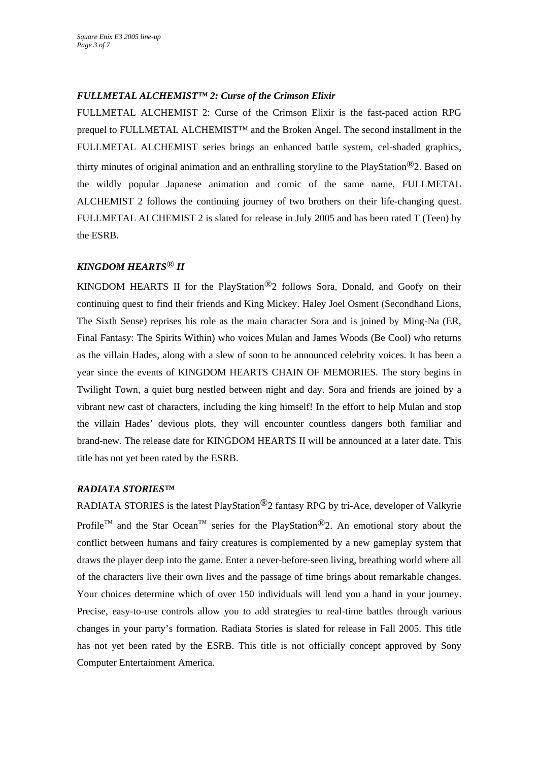### *FULLMETAL ALCHEMIST™ 2: Curse of the Crimson Elixir*

FULLMETAL ALCHEMIST 2: Curse of the Crimson Elixir is the fast-paced action RPG prequel to FULLMETAL ALCHEMIST™ and the Broken Angel. The second installment in the FULLMETAL ALCHEMIST series brings an enhanced battle system, cel-shaded graphics, thirty minutes of original animation and an enthralling storyline to the PlayStation<sup>®</sup>2. Based on the wildly popular Japanese animation and comic of the same name, FULLMETAL ALCHEMIST 2 follows the continuing journey of two brothers on their life-changing quest. FULLMETAL ALCHEMIST 2 is slated for release in July 2005 and has been rated T (Teen) by the ESRB.

## *KINGDOM HEARTS*® *II*

KINGDOM HEARTS II for the PlayStation<sup>®</sup>2 follows Sora, Donald, and Goofy on their continuing quest to find their friends and King Mickey. Haley Joel Osment (Secondhand Lions, The Sixth Sense) reprises his role as the main character Sora and is joined by Ming-Na (ER, Final Fantasy: The Spirits Within) who voices Mulan and James Woods (Be Cool) who returns as the villain Hades, along with a slew of soon to be announced celebrity voices. It has been a year since the events of KINGDOM HEARTS CHAIN OF MEMORIES. The story begins in Twilight Town, a quiet burg nestled between night and day. Sora and friends are joined by a vibrant new cast of characters, including the king himself! In the effort to help Mulan and stop the villain Hades' devious plots, they will encounter countless dangers both familiar and brand-new. The release date for KINGDOM HEARTS II will be announced at a later date. This title has not yet been rated by the ESRB.

#### *RADIATA STORIES™*

RADIATA STORIES is the latest PlayStation®2 fantasy RPG by tri-Ace, developer of Valkyrie Profile<sup>™</sup> and the Star Ocean<sup>™</sup> series for the PlayStation<sup>®</sup>2. An emotional story about the conflict between humans and fairy creatures is complemented by a new gameplay system that draws the player deep into the game. Enter a never-before-seen living, breathing world where all of the characters live their own lives and the passage of time brings about remarkable changes. Your choices determine which of over 150 individuals will lend you a hand in your journey. Precise, easy-to-use controls allow you to add strategies to real-time battles through various changes in your party's formation. Radiata Stories is slated for release in Fall 2005. This title has not yet been rated by the ESRB. This title is not officially concept approved by Sony Computer Entertainment America.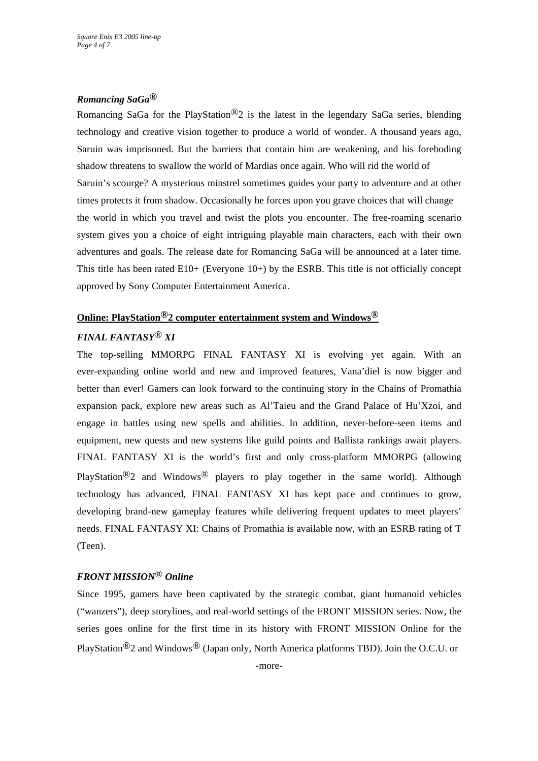#### *Romancing SaGa®*

Romancing SaGa for the PlayStation*®*2 is the latest in the legendary SaGa series, blending technology and creative vision together to produce a world of wonder. A thousand years ago, Saruin was imprisoned. But the barriers that contain him are weakening, and his foreboding shadow threatens to swallow the world of Mardias once again. Who will rid the world of Saruin's scourge? A mysterious minstrel sometimes guides your party to adventure and at other times protects it from shadow. Occasionally he forces upon you grave choices that will change the world in which you travel and twist the plots you encounter. The free-roaming scenario system gives you a choice of eight intriguing playable main characters, each with their own adventures and goals. The release date for Romancing SaGa will be announced at a later time. This title has been rated  $E10+$  (Everyone  $10+$ ) by the ESRB. This title is not officially concept approved by Sony Computer Entertainment America.

#### **Online: PlayStation®2 computer entertainment system and Windows®**

### *FINAL FANTASY*® *XI*

The top-selling MMORPG FINAL FANTASY XI is evolving yet again. With an ever-expanding online world and new and improved features, Vana'diel is now bigger and better than ever! Gamers can look forward to the continuing story in the Chains of Promathia expansion pack, explore new areas such as Al'Taieu and the Grand Palace of Hu'Xzoi, and engage in battles using new spells and abilities. In addition, never-before-seen items and equipment, new quests and new systems like guild points and Ballista rankings await players. FINAL FANTASY XI is the world's first and only cross-platform MMORPG (allowing PlayStation<sup>®</sup>2 and Windows<sup>®</sup> players to play together in the same world). Although technology has advanced, FINAL FANTASY XI has kept pace and continues to grow, developing brand-new gameplay features while delivering frequent updates to meet players' needs. FINAL FANTASY XI: Chains of Promathia is available now, with an ESRB rating of T (Teen).

#### *FRONT MISSION*® *Online*

Since 1995, gamers have been captivated by the strategic combat, giant humanoid vehicles ("wanzers"), deep storylines, and real-world settings of the FRONT MISSION series. Now, the series goes online for the first time in its history with FRONT MISSION Online for the PlayStation®2 and Windows® (Japan only, North America platforms TBD). Join the O.C.U. or

-more-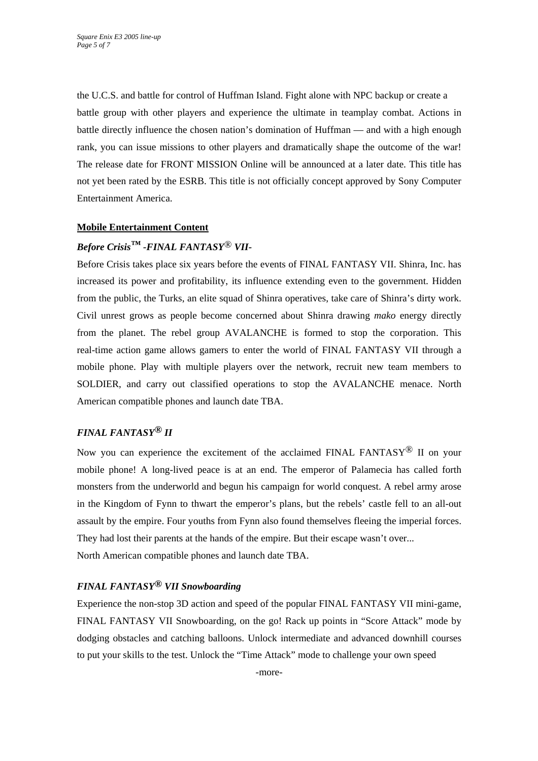the U.C.S. and battle for control of Huffman Island. Fight alone with NPC backup or create a battle group with other players and experience the ultimate in teamplay combat. Actions in battle directly influence the chosen nation's domination of Huffman — and with a high enough rank, you can issue missions to other players and dramatically shape the outcome of the war! The release date for FRONT MISSION Online will be announced at a later date. This title has not yet been rated by the ESRB. This title is not officially concept approved by Sony Computer Entertainment America.

#### **Mobile Entertainment Content**

## *Before Crisis™ -FINAL FANTASY*® *VII-*

Before Crisis takes place six years before the events of FINAL FANTASY VII. Shinra, Inc. has increased its power and profitability, its influence extending even to the government. Hidden from the public, the Turks, an elite squad of Shinra operatives, take care of Shinra's dirty work. Civil unrest grows as people become concerned about Shinra drawing *mako* energy directly from the planet. The rebel group AVALANCHE is formed to stop the corporation. This real-time action game allows gamers to enter the world of FINAL FANTASY VII through a mobile phone. Play with multiple players over the network, recruit new team members to SOLDIER, and carry out classified operations to stop the AVALANCHE menace. North American compatible phones and launch date TBA.

### *FINAL FANTASY® II*

Now you can experience the excitement of the acclaimed FINAL FANTASY<sup>®</sup> II on your mobile phone! A long-lived peace is at an end. The emperor of Palamecia has called forth monsters from the underworld and begun his campaign for world conquest. A rebel army arose in the Kingdom of Fynn to thwart the emperor's plans, but the rebels' castle fell to an all-out assault by the empire. Four youths from Fynn also found themselves fleeing the imperial forces. They had lost their parents at the hands of the empire. But their escape wasn't over... North American compatible phones and launch date TBA.

#### *FINAL FANTASY® VII Snowboarding*

Experience the non-stop 3D action and speed of the popular FINAL FANTASY VII mini-game, FINAL FANTASY VII Snowboarding, on the go! Rack up points in "Score Attack" mode by dodging obstacles and catching balloons. Unlock intermediate and advanced downhill courses to put your skills to the test. Unlock the "Time Attack" mode to challenge your own speed

-more-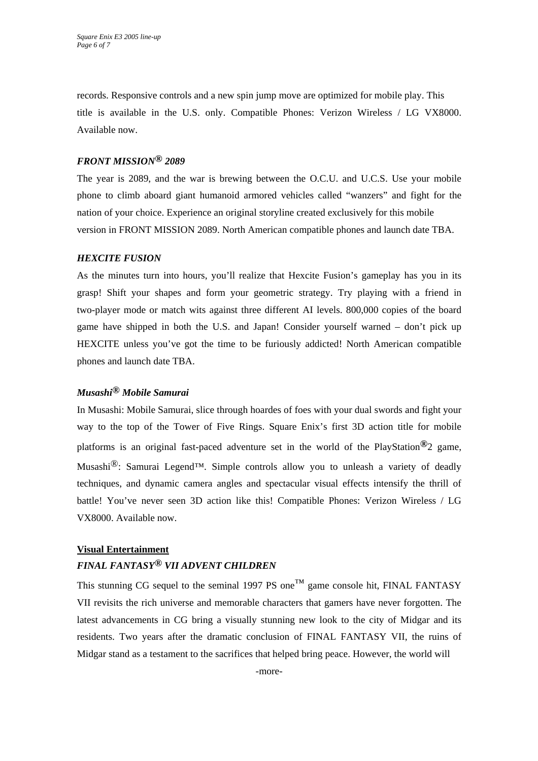records. Responsive controls and a new spin jump move are optimized for mobile play. This title is available in the U.S. only. Compatible Phones: Verizon Wireless / LG VX8000. Available now.

#### *FRONT MISSION® 2089*

The year is 2089, and the war is brewing between the O.C.U. and U.C.S. Use your mobile phone to climb aboard giant humanoid armored vehicles called "wanzers" and fight for the nation of your choice. Experience an original storyline created exclusively for this mobile version in FRONT MISSION 2089. North American compatible phones and launch date TBA.

#### *HEXCITE FUSION*

As the minutes turn into hours, you'll realize that Hexcite Fusion's gameplay has you in its grasp! Shift your shapes and form your geometric strategy. Try playing with a friend in two-player mode or match wits against three different AI levels. 800,000 copies of the board game have shipped in both the U.S. and Japan! Consider yourself warned – don't pick up HEXCITE unless you've got the time to be furiously addicted! North American compatible phones and launch date TBA.

#### *Musashi® Mobile Samurai*

In Musashi: Mobile Samurai, slice through hoardes of foes with your dual swords and fight your way to the top of the Tower of Five Rings. Square Enix's first 3D action title for mobile platforms is an original fast-paced adventure set in the world of the PlayStation*®*2 game, Musashi®: Samurai Legend™. Simple controls allow you to unleash a variety of deadly techniques, and dynamic camera angles and spectacular visual effects intensify the thrill of battle! You've never seen 3D action like this! Compatible Phones: Verizon Wireless / LG VX8000. Available now.

#### **Visual Entertainment**

## *FINAL FANTASY® VII ADVENT CHILDREN*

This stunning CG sequel to the seminal 1997 PS one<sup>TM</sup> game console hit, FINAL FANTASY VII revisits the rich universe and memorable characters that gamers have never forgotten. The latest advancements in CG bring a visually stunning new look to the city of Midgar and its residents. Two years after the dramatic conclusion of FINAL FANTASY VII, the ruins of Midgar stand as a testament to the sacrifices that helped bring peace. However, the world will

-more-